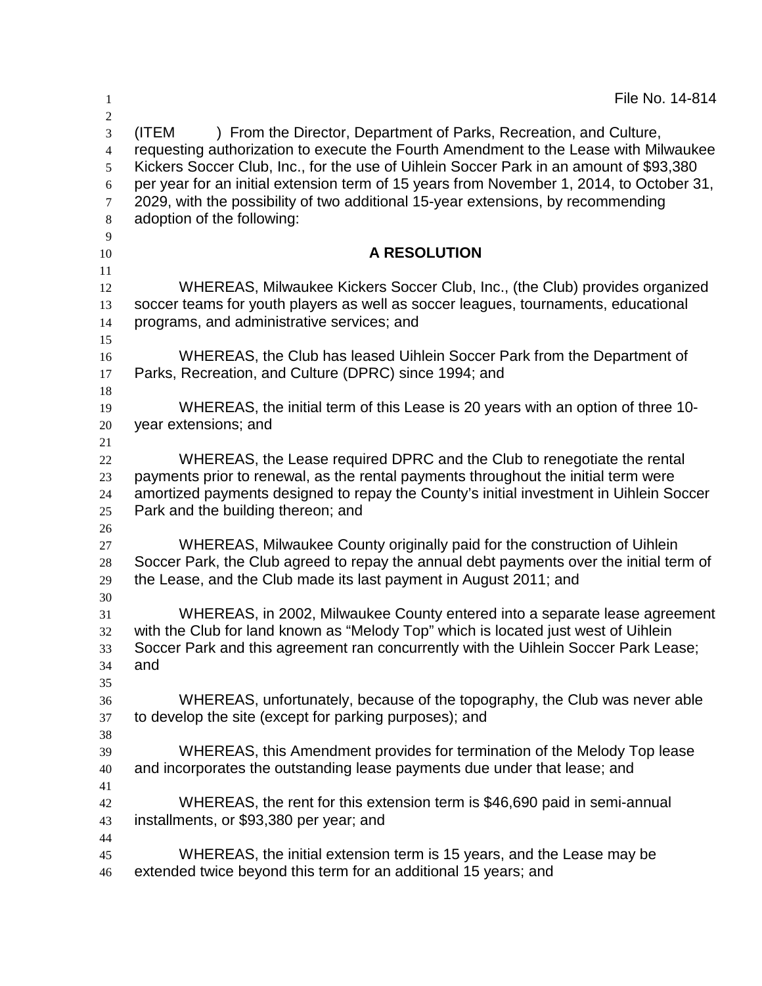| 1                                                                                     | File No. 14-814                                                                                                                                                                                                                                                                                                                                                                                                                                                             |
|---------------------------------------------------------------------------------------|-----------------------------------------------------------------------------------------------------------------------------------------------------------------------------------------------------------------------------------------------------------------------------------------------------------------------------------------------------------------------------------------------------------------------------------------------------------------------------|
| $\overline{2}$<br>3<br>$\overline{4}$<br>5<br>$\sqrt{6}$<br>7<br>$8\phantom{.0}$<br>9 | (ITEM<br>) From the Director, Department of Parks, Recreation, and Culture,<br>requesting authorization to execute the Fourth Amendment to the Lease with Milwaukee<br>Kickers Soccer Club, Inc., for the use of Uihlein Soccer Park in an amount of \$93,380<br>per year for an initial extension term of 15 years from November 1, 2014, to October 31,<br>2029, with the possibility of two additional 15-year extensions, by recommending<br>adoption of the following: |
| 10                                                                                    | A RESOLUTION                                                                                                                                                                                                                                                                                                                                                                                                                                                                |
| 11                                                                                    |                                                                                                                                                                                                                                                                                                                                                                                                                                                                             |
| 12<br>13<br>14                                                                        | WHEREAS, Milwaukee Kickers Soccer Club, Inc., (the Club) provides organized<br>soccer teams for youth players as well as soccer leagues, tournaments, educational<br>programs, and administrative services; and                                                                                                                                                                                                                                                             |
| 15<br>16<br>17<br>18                                                                  | WHEREAS, the Club has leased Uihlein Soccer Park from the Department of<br>Parks, Recreation, and Culture (DPRC) since 1994; and                                                                                                                                                                                                                                                                                                                                            |
| 19<br>20<br>21                                                                        | WHEREAS, the initial term of this Lease is 20 years with an option of three 10-<br>year extensions; and                                                                                                                                                                                                                                                                                                                                                                     |
| 22<br>23<br>24<br>25                                                                  | WHEREAS, the Lease required DPRC and the Club to renegotiate the rental<br>payments prior to renewal, as the rental payments throughout the initial term were<br>amortized payments designed to repay the County's initial investment in Uihlein Soccer<br>Park and the building thereon; and                                                                                                                                                                               |
| 26<br>27<br>28<br>29<br>30                                                            | WHEREAS, Milwaukee County originally paid for the construction of Uihlein<br>Soccer Park, the Club agreed to repay the annual debt payments over the initial term of<br>the Lease, and the Club made its last payment in August 2011; and                                                                                                                                                                                                                                   |
| 31<br>32<br>33<br>34                                                                  | WHEREAS, in 2002, Milwaukee County entered into a separate lease agreement<br>with the Club for land known as "Melody Top" which is located just west of Uihlein<br>Soccer Park and this agreement ran concurrently with the Uihlein Soccer Park Lease;<br>and                                                                                                                                                                                                              |
| 35<br>36<br>37                                                                        | WHEREAS, unfortunately, because of the topography, the Club was never able<br>to develop the site (except for parking purposes); and                                                                                                                                                                                                                                                                                                                                        |
| 38<br>39<br>40                                                                        | WHEREAS, this Amendment provides for termination of the Melody Top lease<br>and incorporates the outstanding lease payments due under that lease; and                                                                                                                                                                                                                                                                                                                       |
| 41<br>42<br>43                                                                        | WHEREAS, the rent for this extension term is \$46,690 paid in semi-annual<br>installments, or \$93,380 per year; and                                                                                                                                                                                                                                                                                                                                                        |
| 44<br>45<br>46                                                                        | WHEREAS, the initial extension term is 15 years, and the Lease may be<br>extended twice beyond this term for an additional 15 years; and                                                                                                                                                                                                                                                                                                                                    |